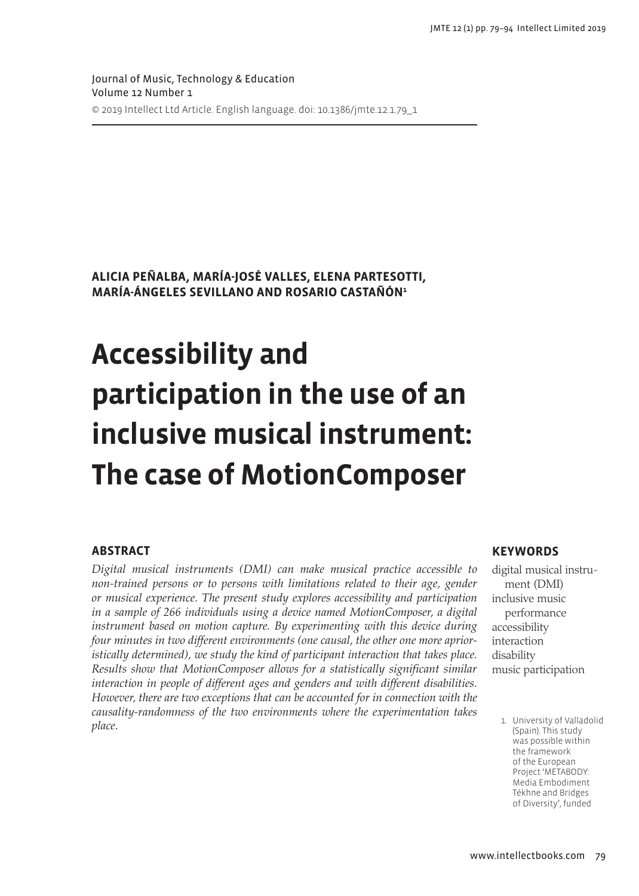Journal of Music, Technology & Education Volume 12 Number 1 © 2019 Intellect Ltd Article. English language. doi: 10.1386/jmte.12.1.79\_1

<span id="page-0-0"></span>**ALICIA PEÑALBA, MARÍA-JOSÉ VALLES, ELENA PARTESOTTI, MARÍA-ÁNGELES SEVILLANO AND ROSARIO CASTAÑÓN1**

# **Accessibility and participation in the use of an inclusive musical instrument: The case of MotionComposer**

# **ABSTRACT**

*Digital musical instruments (DMI) can make musical practice accessible to non-trained persons or to persons with limitations related to their age, gender or musical experience. The present study explores accessibility and participation in a sample of 266 individuals using a device named MotionComposer, a digital instrument based on motion capture. By experimenting with this device during four minutes in two different environments (one causal, the other one more aprioristically determined), we study the kind of participant interaction that takes place. Results show that MotionComposer allows for a statistically significant similar interaction in people of different ages and genders and with different disabilities. However, there are two exceptions that can be accounted for in connection with the causality-randomness of the two environments where the experimentation takes place.* The contract of the contract of the contract of the contract of the contract of Valladolid<br>Chain This study (Spain) This study

# **KEYWORDS**

digital musical instrument (DMI) inclusive music performance accessibility interaction disability music participation

(Spain). This study was possible within the framework of the European Project 'METABODY: Media Embodiment Tékhne and Bridges of Diversity', funded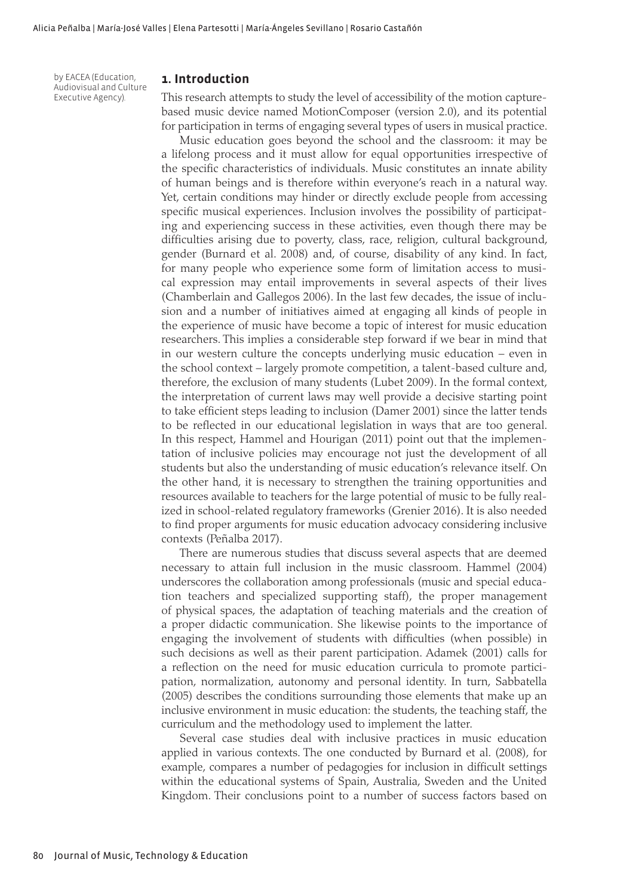by EACEA (Education, Audiovisual and Culture Executive Agency).

## **1. Introduction**

This research attempts to study the level of accessibility of the motion capturebased music device named MotionComposer (version 2.0), and its potential for participation in terms of engaging several types of users in musical practice.

Music education goes beyond the school and the classroom: it may be a lifelong process and it must allow for equal opportunities irrespective of the specific characteristics of individuals. Music constitutes an innate ability of human beings and is therefore within everyone's reach in a natural way. Yet, certain conditions may hinder or directly exclude people from accessing specific musical experiences. Inclusion involves the possibility of participating and experiencing success in these activities, even though there may be difficulties arising due to poverty, class, race, religion, cultural background, gender (Burnard et al. 2008) and, of course, disability of any kind. In fact, for many people who experience some form of limitation access to musical expression may entail improvements in several aspects of their lives (Chamberlain and Gallegos 2006). In the last few decades, the issue of inclusion and a number of initiatives aimed at engaging all kinds of people in the experience of music have become a topic of interest for music education researchers. This implies a considerable step forward if we bear in mind that in our western culture the concepts underlying music education – even in the school context – largely promote competition, a talent-based culture and, therefore, the exclusion of many students (Lubet 2009). In the formal context, the interpretation of current laws may well provide a decisive starting point to take efficient steps leading to inclusion (Damer 2001) since the latter tends to be reflected in our educational legislation in ways that are too general. In this respect, Hammel and Hourigan (2011) point out that the implementation of inclusive policies may encourage not just the development of all students but also the understanding of music education's relevance itself. On the other hand, it is necessary to strengthen the training opportunities and resources available to teachers for the large potential of music to be fully realized in school-related regulatory frameworks (Grenier 2016). It is also needed to find proper arguments for music education advocacy considering inclusive contexts (Peñalba 2017).

There are numerous studies that discuss several aspects that are deemed necessary to attain full inclusion in the music classroom. Hammel (2004) underscores the collaboration among professionals (music and special education teachers and specialized supporting staff), the proper management of physical spaces, the adaptation of teaching materials and the creation of a proper didactic communication. She likewise points to the importance of engaging the involvement of students with difficulties (when possible) in such decisions as well as their parent participation. Adamek (2001) calls for a reflection on the need for music education curricula to promote participation, normalization, autonomy and personal identity. In turn, Sabbatella (2005) describes the conditions surrounding those elements that make up an inclusive environment in music education: the students, the teaching staff, the curriculum and the methodology used to implement the latter.

Several case studies deal with inclusive practices in music education applied in various contexts. The one conducted by Burnard et al. (2008), for example, compares a number of pedagogies for inclusion in difficult settings within the educational systems of Spain, Australia, Sweden and the United Kingdom. Their conclusions point to a number of success factors based on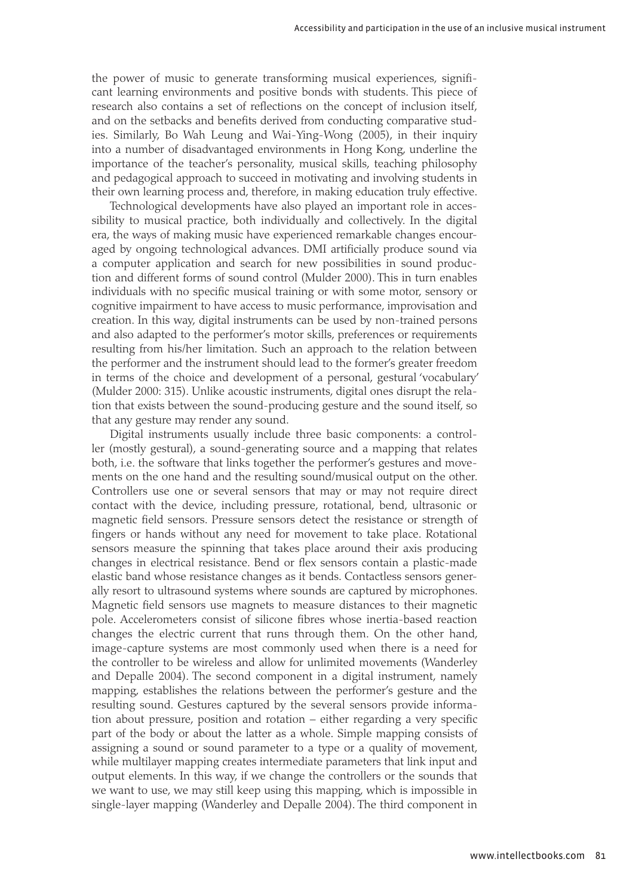the power of music to generate transforming musical experiences, significant learning environments and positive bonds with students. This piece of research also contains a set of reflections on the concept of inclusion itself, and on the setbacks and benefits derived from conducting comparative studies. Similarly, Bo Wah Leung and Wai-Ying-Wong (2005), in their inquiry into a number of disadvantaged environments in Hong Kong, underline the importance of the teacher's personality, musical skills, teaching philosophy and pedagogical approach to succeed in motivating and involving students in their own learning process and, therefore, in making education truly effective.

Technological developments have also played an important role in accessibility to musical practice, both individually and collectively. In the digital era, the ways of making music have experienced remarkable changes encouraged by ongoing technological advances. DMI artificially produce sound via a computer application and search for new possibilities in sound production and different forms of sound control (Mulder 2000). This in turn enables individuals with no specific musical training or with some motor, sensory or cognitive impairment to have access to music performance, improvisation and creation. In this way, digital instruments can be used by non-trained persons and also adapted to the performer's motor skills, preferences or requirements resulting from his/her limitation. Such an approach to the relation between the performer and the instrument should lead to the former's greater freedom in terms of the choice and development of a personal, gestural 'vocabulary' (Mulder 2000: 315). Unlike acoustic instruments, digital ones disrupt the relation that exists between the sound-producing gesture and the sound itself, so that any gesture may render any sound.

Digital instruments usually include three basic components: a controller (mostly gestural), a sound-generating source and a mapping that relates both, i.e. the software that links together the performer's gestures and movements on the one hand and the resulting sound/musical output on the other. Controllers use one or several sensors that may or may not require direct contact with the device, including pressure, rotational, bend, ultrasonic or magnetic field sensors. Pressure sensors detect the resistance or strength of fingers or hands without any need for movement to take place. Rotational sensors measure the spinning that takes place around their axis producing changes in electrical resistance. Bend or flex sensors contain a plastic-made elastic band whose resistance changes as it bends. Contactless sensors generally resort to ultrasound systems where sounds are captured by microphones. Magnetic field sensors use magnets to measure distances to their magnetic pole. Accelerometers consist of silicone fibres whose inertia-based reaction changes the electric current that runs through them. On the other hand, image-capture systems are most commonly used when there is a need for the controller to be wireless and allow for unlimited movements (Wanderley and Depalle 2004). The second component in a digital instrument, namely mapping, establishes the relations between the performer's gesture and the resulting sound. Gestures captured by the several sensors provide information about pressure, position and rotation – either regarding a very specific part of the body or about the latter as a whole. Simple mapping consists of assigning a sound or sound parameter to a type or a quality of movement, while multilayer mapping creates intermediate parameters that link input and output elements. In this way, if we change the controllers or the sounds that we want to use, we may still keep using this mapping, which is impossible in single-layer mapping (Wanderley and Depalle 2004). The third component in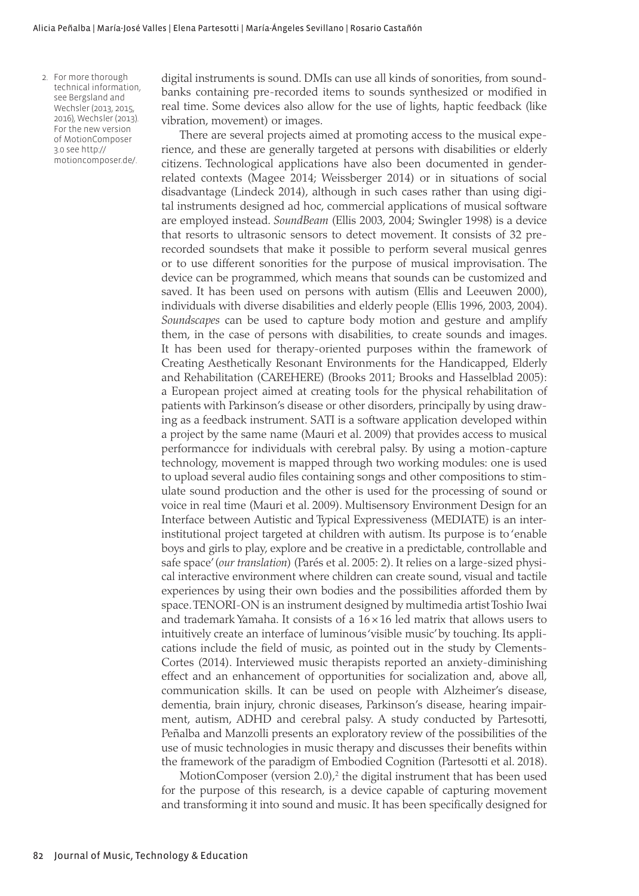<span id="page-3-0"></span>2. For more thorough technical information, see Bergsland and Wechsler (2013, 2015, 2016), Wechsler (2013). For the new version of MotionComposer 3.0 see [http://](http://motioncomposer.de/) [motioncomposer.de/.](http://motioncomposer.de/)

digital instruments is sound. DMIs can use all kinds of sonorities, from soundbanks containing pre-recorded items to sounds synthesized or modified in real time. Some devices also allow for the use of lights, haptic feedback (like vibration, movement) or images.

There are several projects aimed at promoting access to the musical experience, and these are generally targeted at persons with disabilities or elderly citizens. Technological applications have also been documented in genderrelated contexts (Magee 2014; Weissberger 2014) or in situations of social disadvantage (Lindeck 2014), although in such cases rather than using digital instruments designed ad hoc, commercial applications of musical software are employed instead. *SoundBeam* (Ellis 2003, 2004; Swingler 1998) is a device that resorts to ultrasonic sensors to detect movement. It consists of 32 prerecorded soundsets that make it possible to perform several musical genres or to use different sonorities for the purpose of musical improvisation. The device can be programmed, which means that sounds can be customized and saved. It has been used on persons with autism (Ellis and Leeuwen 2000), individuals with diverse disabilities and elderly people (Ellis 1996, 2003, 2004). *Soundscapes* can be used to capture body motion and gesture and amplify them, in the case of persons with disabilities, to create sounds and images. It has been used for therapy-oriented purposes within the framework of Creating Aesthetically Resonant Environments for the Handicapped, Elderly and Rehabilitation (CAREHERE) (Brooks 2011; Brooks and Hasselblad 2005): a European project aimed at creating tools for the physical rehabilitation of patients with Parkinson's disease or other disorders, principally by using drawing as a feedback instrument. SATI is a software application developed within a project by the same name (Mauri et al. 2009) that provides access to musical performancce for individuals with cerebral palsy. By using a motion-capture technology, movement is mapped through two working modules: one is used to upload several audio files containing songs and other compositions to stimulate sound production and the other is used for the processing of sound or voice in real time (Mauri et al. 2009). Multisensory Environment Design for an Interface between Autistic and Typical Expressiveness (MEDIATE) is an interinstitutional project targeted at children with autism. Its purpose is to 'enable boys and girls to play, explore and be creative in a predictable, controllable and safe space' (*our translation*) (Parés et al. 2005: 2). It relies on a large-sized physical interactive environment where children can create sound, visual and tactile experiences by using their own bodies and the possibilities afforded them by space. TENORI-ON is an instrument designed by multimedia artist Toshio Iwai and trademark Yamaha. It consists of a  $16 \times 16$  led matrix that allows users to intuitively create an interface of luminous 'visible music' by touching. Its applications include the field of music, as pointed out in the study by Clements-Cortes (2014). Interviewed music therapists reported an anxiety-diminishing effect and an enhancement of opportunities for socialization and, above all, communication skills. It can be used on people with Alzheimer's disease, dementia, brain injury, chronic diseases, Parkinson's disease, hearing impairment, autism, ADHD and cerebral palsy. A study conducted by Partesotti, Peñalba and Manzolli presents an exploratory review of the possibilities of the use of music technologies in music therapy and discusses their benefits within the framework of the paradigm of Embodied Cognition (Partesotti et al. 2018).

MotionComposer (version  $2.0$  $2.0$ ),<sup>2</sup> the digital instrument that has been used for the purpose of this research, is a device capable of capturing movement and transforming it into sound and music. It has been specifically designed for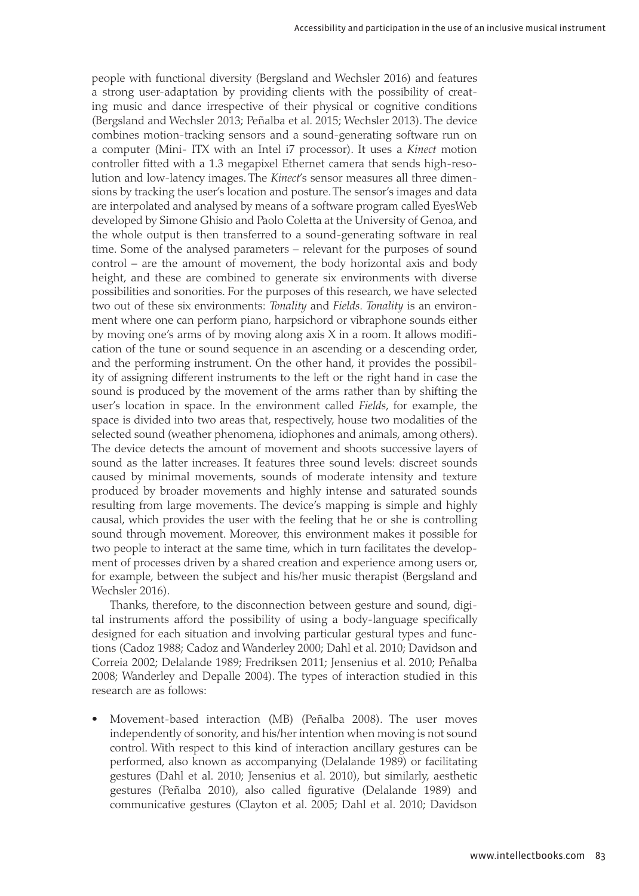people with functional diversity (Bergsland and Wechsler 2016) and features a strong user-adaptation by providing clients with the possibility of creating music and dance irrespective of their physical or cognitive conditions (Bergsland and Wechsler 2013; Peñalba et al. 2015; Wechsler 2013). The device combines motion-tracking sensors and a sound-generating software run on a computer (Mini- ITX with an Intel i7 processor). It uses a *Kinect* motion controller fitted with a 1.3 megapixel Ethernet camera that sends high-resolution and low-latency images. The *Kinect*'s sensor measures all three dimensions by tracking the user's location and posture. The sensor's images and data are interpolated and analysed by means of a software program called EyesWeb developed by Simone Ghisio and Paolo Coletta at the University of Genoa, and the whole output is then transferred to a sound-generating software in real time. Some of the analysed parameters – relevant for the purposes of sound control – are the amount of movement, the body horizontal axis and body height, and these are combined to generate six environments with diverse possibilities and sonorities. For the purposes of this research, we have selected two out of these six environments: *Tonality* and *Fields*. *Tonality* is an environment where one can perform piano, harpsichord or vibraphone sounds either by moving one's arms of by moving along axis X in a room. It allows modification of the tune or sound sequence in an ascending or a descending order, and the performing instrument. On the other hand, it provides the possibility of assigning different instruments to the left or the right hand in case the sound is produced by the movement of the arms rather than by shifting the user's location in space. In the environment called *Fields*, for example, the space is divided into two areas that, respectively, house two modalities of the selected sound (weather phenomena, idiophones and animals, among others). The device detects the amount of movement and shoots successive layers of sound as the latter increases. It features three sound levels: discreet sounds caused by minimal movements, sounds of moderate intensity and texture produced by broader movements and highly intense and saturated sounds resulting from large movements. The device's mapping is simple and highly causal, which provides the user with the feeling that he or she is controlling sound through movement. Moreover, this environment makes it possible for two people to interact at the same time, which in turn facilitates the development of processes driven by a shared creation and experience among users or, for example, between the subject and his/her music therapist (Bergsland and Wechsler 2016).

Thanks, therefore, to the disconnection between gesture and sound, digital instruments afford the possibility of using a body-language specifically designed for each situation and involving particular gestural types and functions (Cadoz 1988; Cadoz and Wanderley 2000; Dahl et al. 2010; Davidson and Correia 2002; Delalande 1989; Fredriksen 2011; Jensenius et al. 2010; Peñalba 2008; Wanderley and Depalle 2004). The types of interaction studied in this research are as follows:

• Movement-based interaction (MB) (Peñalba 2008). The user moves independently of sonority, and his/her intention when moving is not sound control. With respect to this kind of interaction ancillary gestures can be performed, also known as accompanying (Delalande 1989) or facilitating gestures (Dahl et al. 2010; Jensenius et al. 2010), but similarly, aesthetic gestures (Peñalba 2010), also called figurative (Delalande 1989) and communicative gestures (Clayton et al. 2005; Dahl et al. 2010; Davidson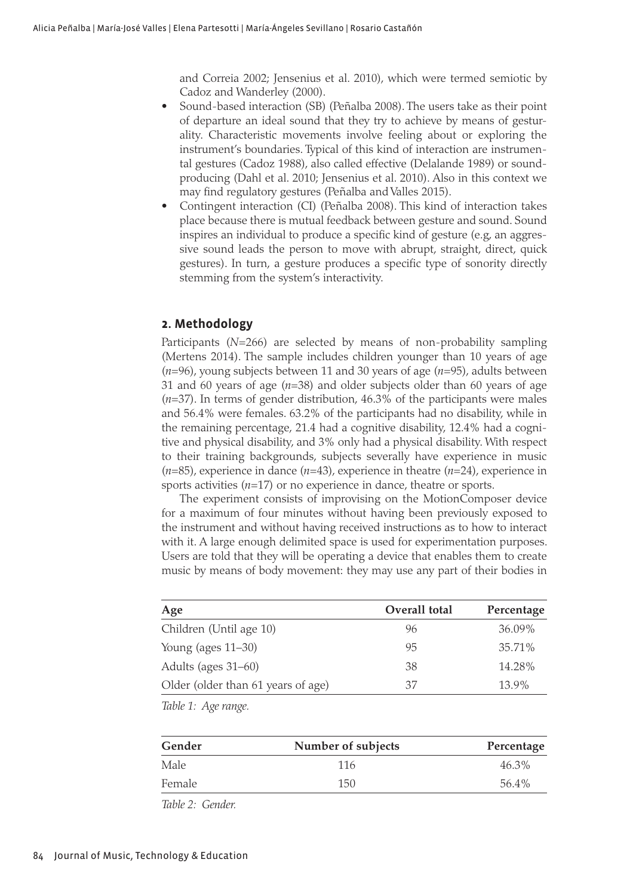and Correia 2002; Jensenius et al. 2010), which were termed semiotic by Cadoz and Wanderley (2000).

- Sound-based interaction (SB) (Peñalba 2008). The users take as their point of departure an ideal sound that they try to achieve by means of gesturality. Characteristic movements involve feeling about or exploring the instrument's boundaries. Typical of this kind of interaction are instrumental gestures (Cadoz 1988), also called effective (Delalande 1989) or soundproducing (Dahl et al. 2010; Jensenius et al. 2010). Also in this context we may find regulatory gestures (Peñalba and Valles 2015).
- Contingent interaction (CI) (Peñalba 2008). This kind of interaction takes place because there is mutual feedback between gesture and sound. Sound inspires an individual to produce a specific kind of gesture (e.g, an aggressive sound leads the person to move with abrupt, straight, direct, quick gestures). In turn, a gesture produces a specific type of sonority directly stemming from the system's interactivity.

# **2. Methodology**

Participants (*N*=266) are selected by means of non-probability sampling (Mertens 2014). The sample includes children younger than 10 years of age (*n*=96), young subjects between 11 and 30 years of age (*n*=95), adults between 31 and 60 years of age (*n*=38) and older subjects older than 60 years of age (*n*=37). In terms of gender distribution, 46.3% of the participants were males and 56.4% were females. 63.2% of the participants had no disability, while in the remaining percentage, 21.4 had a cognitive disability, 12.4% had a cognitive and physical disability, and 3% only had a physical disability. With respect to their training backgrounds, subjects severally have experience in music (*n*=85), experience in dance (*n*=43), experience in theatre (*n*=24), experience in sports activities (*n*=17) or no experience in dance, theatre or sports.

The experiment consists of improvising on the MotionComposer device for a maximum of four minutes without having been previously exposed to the instrument and without having received instructions as to how to interact with it. A large enough delimited space is used for experimentation purposes. Users are told that they will be operating a device that enables them to create music by means of body movement: they may use any part of their bodies in

| Age                                | Overall total | Percentage |
|------------------------------------|---------------|------------|
| Children (Until age 10)            | 96            | 36.09%     |
| Young (ages 11-30)                 | 95            | 35.71%     |
| Adults (ages $31-60$ )             | 38            | 14.28%     |
| Older (older than 61 years of age) | 37            | 13.9%      |

*Table 1: Age range.*

| Gender | Number of subjects | Percentage |  |  |
|--------|--------------------|------------|--|--|
| Male   | 116                | $46.3\%$   |  |  |
| Female | 150                | 56.4%      |  |  |

*Table 2: Gender.*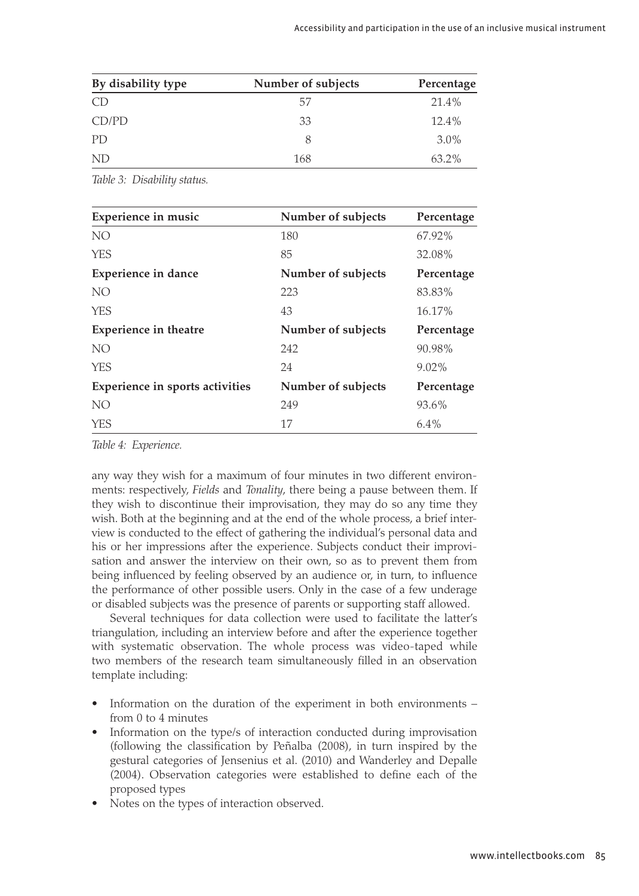| By disability type | Number of subjects | Percentage |
|--------------------|--------------------|------------|
| CD                 | 57                 | 21.4%      |
| CD/PD              | 33                 | 12.4%      |
| PD.                |                    | 3.0%       |
| ND                 | 168                | $63.2\%$   |

*Table 3: Disability status.*

| <b>Experience in music</b>             | Number of subjects | Percentage |
|----------------------------------------|--------------------|------------|
| NO <sub>1</sub>                        | 180                | 67.92%     |
| <b>YES</b>                             | 85                 | 32.08%     |
| <b>Experience in dance</b>             | Number of subjects | Percentage |
| NO.                                    | 223                | 83.83%     |
| <b>YES</b>                             | 43                 | 16.17%     |
| <b>Experience in theatre</b>           | Number of subjects | Percentage |
| NO.                                    | 242                | 90.98%     |
| <b>YES</b>                             | 24                 | $9.02\%$   |
| <b>Experience in sports activities</b> | Number of subjects | Percentage |
| NO.                                    | 249                | 93.6%      |
| <b>YES</b>                             | 17                 | $6.4\%$    |

*Table 4: Experience.*

any way they wish for a maximum of four minutes in two different environments: respectively, *Fields* and *Tonality*, there being a pause between them. If they wish to discontinue their improvisation, they may do so any time they wish. Both at the beginning and at the end of the whole process, a brief interview is conducted to the effect of gathering the individual's personal data and his or her impressions after the experience. Subjects conduct their improvisation and answer the interview on their own, so as to prevent them from being influenced by feeling observed by an audience or, in turn, to influence the performance of other possible users. Only in the case of a few underage or disabled subjects was the presence of parents or supporting staff allowed.

Several techniques for data collection were used to facilitate the latter's triangulation, including an interview before and after the experience together with systematic observation. The whole process was video-taped while two members of the research team simultaneously filled in an observation template including:

- Information on the duration of the experiment in both environments from 0 to 4 minutes
- Information on the type/s of interaction conducted during improvisation (following the classification by Peñalba (2008), in turn inspired by the gestural categories of Jensenius et al. (2010) and Wanderley and Depalle (2004). Observation categories were established to define each of the proposed types
- Notes on the types of interaction observed.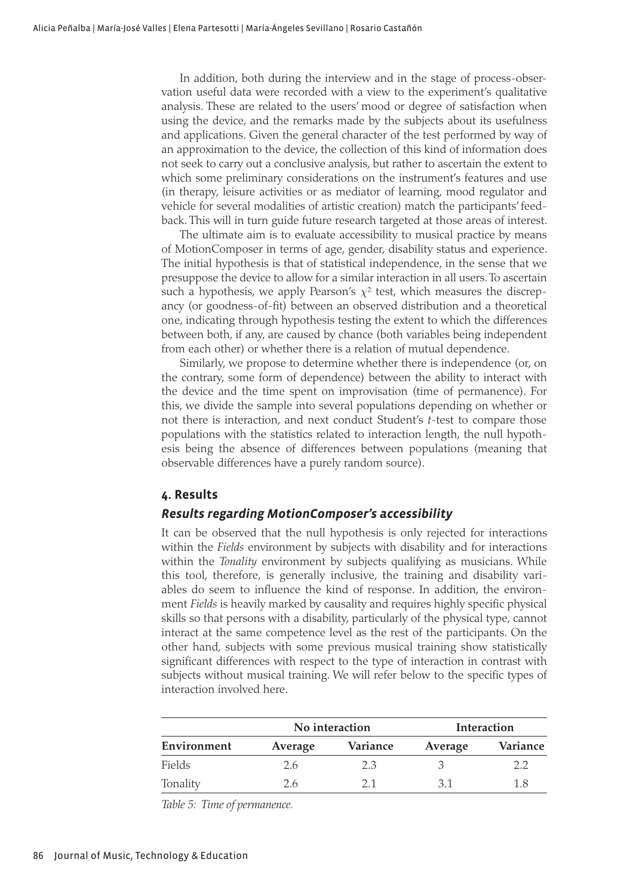In addition, both during the interview and in the stage of process-observation useful data were recorded with a view to the experiment's qualitative analysis. These are related to the users' mood or degree of satisfaction when using the device, and the remarks made by the subjects about its usefulness and applications. Given the general character of the test performed by way of an approximation to the device, the collection of this kind of information does not seek to carry out a conclusive analysis, but rather to ascertain the extent to which some preliminary considerations on the instrument's features and use (in therapy, leisure activities or as mediator of learning, mood regulator and vehicle for several modalities of artistic creation) match the participants' feedback. This will in turn guide future research targeted at those areas of interest.

The ultimate aim is to evaluate accessibility to musical practice by means of MotionComposer in terms of age, gender, disability status and experience. The initial hypothesis is that of statistical independence, in the sense that we presuppose the device to allow for a similar interaction in all users. To ascertain such a hypothesis, we apply Pearson's  $\chi^2$  test, which measures the discrepancy (or goodness-of-fit) between an observed distribution and a theoretical one, indicating through hypothesis testing the extent to which the differences between both, if any, are caused by chance (both variables being independent from each other) or whether there is a relation of mutual dependence.

Similarly, we propose to determine whether there is independence (or, on the contrary, some form of dependence) between the ability to interact with the device and the time spent on improvisation (time of permanence). For this, we divide the sample into several populations depending on whether or not there is interaction, and next conduct Student's *t*-test to compare those populations with the statistics related to interaction length, the null hypothesis being the absence of differences between populations (meaning that observable differences have a purely random source).

## **4. Results**

#### *Results regarding MotionComposer's accessibility*

It can be observed that the null hypothesis is only rejected for interactions within the *Fields* environment by subjects with disability and for interactions within the *Tonality* environment by subjects qualifying as musicians. While this tool, therefore, is generally inclusive, the training and disability variables do seem to influence the kind of response. In addition, the environment *Fields* is heavily marked by causality and requires highly specific physical skills so that persons with a disability, particularly of the physical type, cannot interact at the same competence level as the rest of the participants. On the other hand, subjects with some previous musical training show statistically significant differences with respect to the type of interaction in contrast with subjects without musical training. We will refer below to the specific types of interaction involved here.

|             |         | No interaction | Interaction |          |  |
|-------------|---------|----------------|-------------|----------|--|
| Environment | Average | Variance       | Average     | Variance |  |
| Fields      | 2.6     | 2.3            |             | フフ       |  |
| Tonality    | 2.6     | 21             | 31          | 1.8      |  |

*Table 5: Time of permanence.*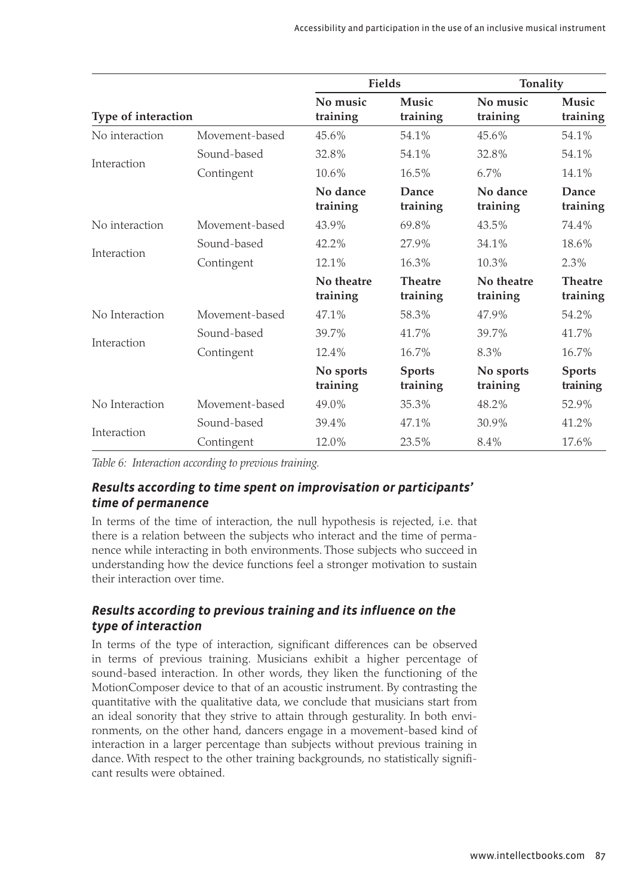|                     |                |                        | <b>Fields</b>              | Tonality               |                            |
|---------------------|----------------|------------------------|----------------------------|------------------------|----------------------------|
| Type of interaction |                | No music<br>training   | Music<br>training          | No music<br>training   | Music<br>training          |
| No interaction      | Movement-based | 45.6%                  | 54.1%                      | 45.6%                  | 54.1%                      |
|                     | Sound-based    | 32.8%                  | 54.1%                      | 32.8%                  | 54.1%                      |
| Interaction         | Contingent     | 10.6%                  | 16.5%                      | 6.7%                   | 14.1%                      |
|                     |                | No dance<br>training   | Dance<br>training          | No dance<br>training   | Dance<br>training          |
| No interaction      | Movement-based | 43.9%                  | 69.8%                      | 43.5%                  | 74.4%                      |
|                     | Sound-based    | 42.2%                  | 27.9%                      | 34.1%                  | 18.6%                      |
| Interaction         | Contingent     | 12.1%                  | 16.3%                      | 10.3%                  | 2.3%                       |
|                     |                | No theatre<br>training | <b>Theatre</b><br>training | No theatre<br>training | <b>Theatre</b><br>training |
| No Interaction      | Movement-based | 47.1%                  | 58.3%                      | 47.9%                  | 54.2%                      |
| Interaction         | Sound-based    | 39.7%                  | 41.7%                      | 39.7%                  | 41.7%                      |
|                     | Contingent     | 12.4%                  | 16.7%                      | 8.3%                   | 16.7%                      |
|                     |                | No sports<br>training  | <b>Sports</b><br>training  | No sports<br>training  | <b>Sports</b><br>training  |
| No Interaction      | Movement-based | 49.0%                  | 35.3%                      | 48.2%                  | 52.9%                      |
|                     | Sound-based    | 39.4%                  | 47.1%                      | 30.9%                  | 41.2%                      |
| Interaction         | Contingent     | 12.0%                  | 23.5%                      | 8.4%                   | 17.6%                      |

*Table 6: Interaction according to previous training.*

# *Results according to time spent on improvisation or participants' time of permanence*

In terms of the time of interaction, the null hypothesis is rejected, i.e. that there is a relation between the subjects who interact and the time of permanence while interacting in both environments. Those subjects who succeed in understanding how the device functions feel a stronger motivation to sustain their interaction over time.

# *Results according to previous training and its influence on the type of interaction*

In terms of the type of interaction, significant differences can be observed in terms of previous training. Musicians exhibit a higher percentage of sound-based interaction. In other words, they liken the functioning of the MotionComposer device to that of an acoustic instrument. By contrasting the quantitative with the qualitative data, we conclude that musicians start from an ideal sonority that they strive to attain through gesturality. In both environments, on the other hand, dancers engage in a movement-based kind of interaction in a larger percentage than subjects without previous training in dance. With respect to the other training backgrounds, no statistically significant results were obtained.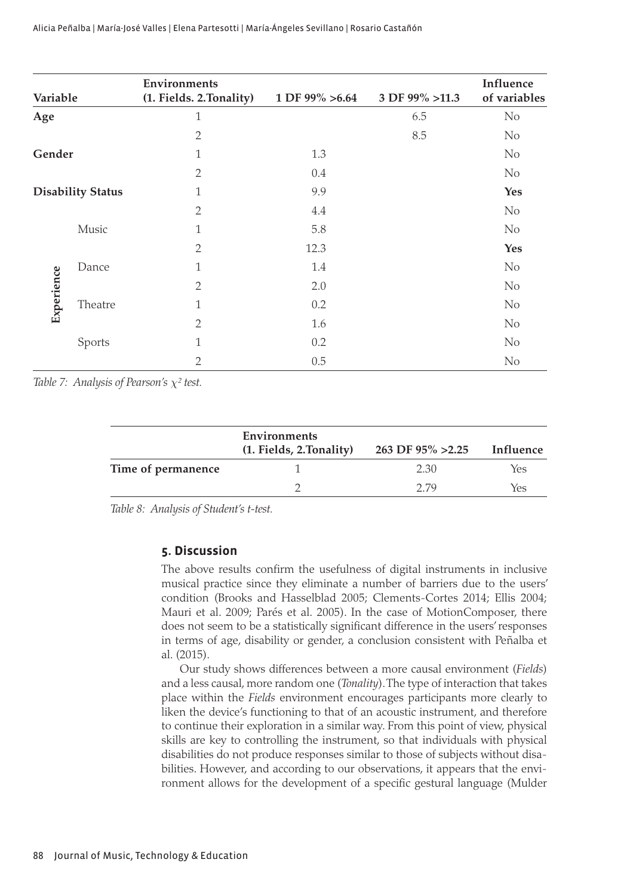| Variable   |                          | <b>Environments</b><br>(1. Fields. 2. Tonality) | 1 DF 99% $>6.64$ | 3 DF 99% >11.3 | Influence<br>of variables |
|------------|--------------------------|-------------------------------------------------|------------------|----------------|---------------------------|
| Age        |                          | 1                                               |                  | 6.5            | $\rm No$                  |
|            |                          | $\overline{2}$                                  |                  | 8.5            | $\rm No$                  |
| Gender     |                          | $\mathbf{1}$                                    | 1.3              |                | $\rm No$                  |
|            |                          | $\overline{2}$                                  | 0.4              |                | $\rm No$                  |
|            | <b>Disability Status</b> | $\mathbf{1}$                                    | 9.9              |                | <b>Yes</b>                |
|            |                          | $\overline{2}$                                  | 4.4              |                | $\rm No$                  |
|            | Music                    | $\mathbf{1}$                                    | 5.8              |                | $\rm No$                  |
|            |                          | $\overline{2}$                                  | 12.3             |                | <b>Yes</b>                |
|            | Dance                    | $\mathbf{1}$                                    | 1.4              |                | $\rm No$                  |
|            |                          | $\overline{2}$                                  | 2.0              |                | $\rm No$                  |
| Experience | Theatre                  | $\mathbf{1}$                                    | 0.2              |                | $\rm No$                  |
|            |                          | $\overline{2}$                                  | 1.6              |                | $\rm No$                  |
|            | Sports                   | 1                                               | 0.2              |                | No                        |
|            |                          | $\overline{2}$                                  | 0.5              |                | $\rm No$                  |

*Table 7: Analysis of Pearson's χ² test.*

|                    | Environments<br>$(1.$ Fields, 2. Tonality) | 263 DF 95% > 2.25 | Influence |
|--------------------|--------------------------------------------|-------------------|-----------|
| Time of permanence |                                            | 2.30              | Yes       |
|                    |                                            | 2.79              | Yes       |

*Table 8: Analysis of Student's t-test.*

## **5. Discussion**

The above results confirm the usefulness of digital instruments in inclusive musical practice since they eliminate a number of barriers due to the users' condition (Brooks and Hasselblad 2005; Clements-Cortes 2014; Ellis 2004; Mauri et al. 2009; Parés et al. 2005). In the case of MotionComposer, there does not seem to be a statistically significant difference in the users' responses in terms of age, disability or gender, a conclusion consistent with Peñalba et al. (2015).

Our study shows differences between a more causal environment (*Fields*) and a less causal, more random one (*Tonality*). The type of interaction that takes place within the *Fields* environment encourages participants more clearly to liken the device's functioning to that of an acoustic instrument, and therefore to continue their exploration in a similar way. From this point of view, physical skills are key to controlling the instrument, so that individuals with physical disabilities do not produce responses similar to those of subjects without disabilities. However, and according to our observations, it appears that the environment allows for the development of a specific gestural language (Mulder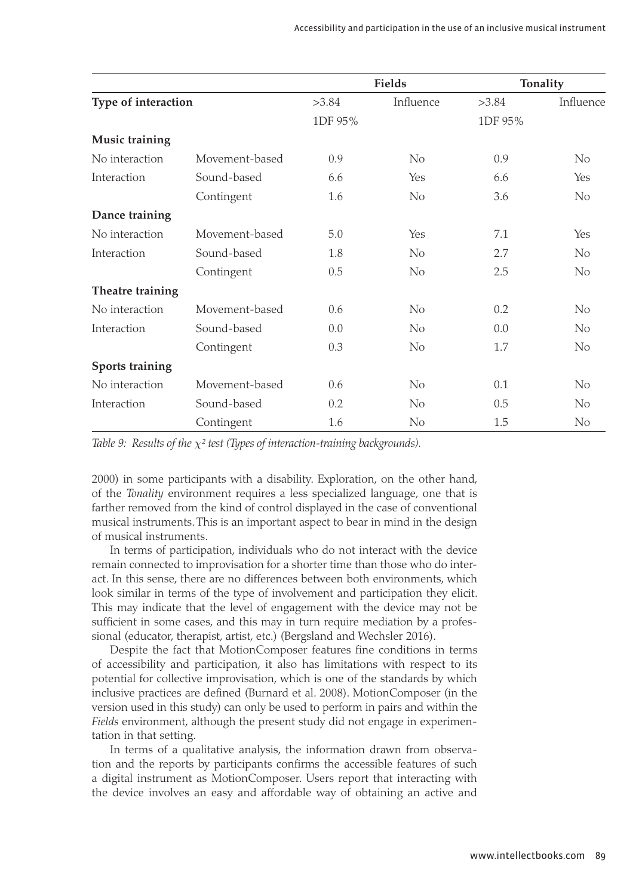|                        |                | Fields  |                | Tonality |           |
|------------------------|----------------|---------|----------------|----------|-----------|
| Type of interaction    |                | >3.84   | Influence      | >3.84    | Influence |
|                        |                | 1DF 95% |                | 1DF 95%  |           |
| Music training         |                |         |                |          |           |
| No interaction         | Movement-based | 0.9     | No.            | 0.9      | No        |
| Interaction            | Sound-based    | 6.6     | Yes            | 6.6      | Yes       |
|                        | Contingent     | 1.6     | N <sub>o</sub> | 3.6      | No        |
| Dance training         |                |         |                |          |           |
| No interaction         | Movement-based | 5.0     | Yes            | 7.1      | Yes       |
| Interaction            | Sound-based    | 1.8     | No             | 2.7      | $\rm No$  |
|                        | Contingent     | 0.5     | N <sub>o</sub> | 2.5      | No        |
| Theatre training       |                |         |                |          |           |
| No interaction         | Movement-based | 0.6     | $\rm No$       | 0.2      | $\rm No$  |
| Interaction            | Sound-based    | 0.0     | No             | 0.0      | No        |
|                        | Contingent     | 0.3     | N <sub>o</sub> | 1.7      | No        |
| <b>Sports training</b> |                |         |                |          |           |
| No interaction         | Movement-based | 0.6     | N <sub>o</sub> | 0.1      | No        |
| Interaction            | Sound-based    | 0.2     | N <sub>o</sub> | 0.5      | $\rm No$  |
|                        | Contingent     | 1.6     | No             | 1.5      | No        |

*Table 9: Results of the χ² test (Types of interaction-training backgrounds).*

2000) in some participants with a disability. Exploration, on the other hand, of the *Tonality* environment requires a less specialized language, one that is farther removed from the kind of control displayed in the case of conventional musical instruments. This is an important aspect to bear in mind in the design of musical instruments.

In terms of participation, individuals who do not interact with the device remain connected to improvisation for a shorter time than those who do interact. In this sense, there are no differences between both environments, which look similar in terms of the type of involvement and participation they elicit. This may indicate that the level of engagement with the device may not be sufficient in some cases, and this may in turn require mediation by a professional (educator, therapist, artist, etc.) (Bergsland and Wechsler 2016).

Despite the fact that MotionComposer features fine conditions in terms of accessibility and participation, it also has limitations with respect to its potential for collective improvisation, which is one of the standards by which inclusive practices are defined (Burnard et al. 2008). MotionComposer (in the version used in this study) can only be used to perform in pairs and within the *Fields* environment, although the present study did not engage in experimentation in that setting.

In terms of a qualitative analysis, the information drawn from observation and the reports by participants confirms the accessible features of such a digital instrument as MotionComposer. Users report that interacting with the device involves an easy and affordable way of obtaining an active and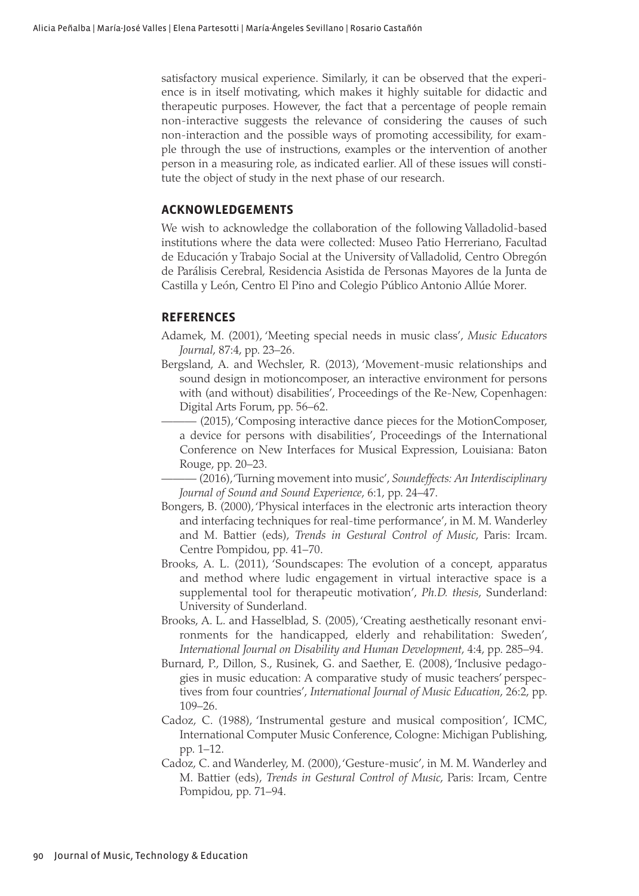satisfactory musical experience. Similarly, it can be observed that the experience is in itself motivating, which makes it highly suitable for didactic and therapeutic purposes. However, the fact that a percentage of people remain non-interactive suggests the relevance of considering the causes of such non-interaction and the possible ways of promoting accessibility, for example through the use of instructions, examples or the intervention of another person in a measuring role, as indicated earlier. All of these issues will constitute the object of study in the next phase of our research.

## **ACKNOWLEDGEMENTS**

We wish to acknowledge the collaboration of the following Valladolid-based institutions where the data were collected: Museo Patio Herreriano, Facultad de Educación y Trabajo Social at the University of Valladolid, Centro Obregón de Parálisis Cerebral, Residencia Asistida de Personas Mayores de la Junta de Castilla y León, Centro El Pino and Colegio Público Antonio Allúe Morer.

## **REFERENCES**

- Adamek, M. (2001), 'Meeting special needs in music class', *Music Educators Journal*, 87:4, pp. 23–26.
- Bergsland, A. and Wechsler, R. (2013), 'Movement-music relationships and sound design in motioncomposer, an interactive environment for persons with (and without) disabilities', Proceedings of the Re-New, Copenhagen: Digital Arts Forum, pp. 56–62.

——— (2015), 'Composing interactive dance pieces for the MotionComposer, a device for persons with disabilities', Proceedings of the International Conference on New Interfaces for Musical Expression, Louisiana: Baton Rouge, pp. 20–23.

——— (2016), 'Turning movement into music', *Soundeffects: An Interdisciplinary Journal of Sound and Sound Experience*, 6:1, pp. 24–47.

- Bongers, B. (2000), 'Physical interfaces in the electronic arts interaction theory and interfacing techniques for real-time performance', in M. M. Wanderley and M. Battier (eds), *Trends in Gestural Control of Music*, Paris: Ircam. Centre Pompidou, pp. 41–70.
- Brooks, A. L. (2011), 'Soundscapes: The evolution of a concept, apparatus and method where ludic engagement in virtual interactive space is a supplemental tool for therapeutic motivation', *Ph.D. thesis*, Sunderland: University of Sunderland.
- Brooks, A. L. and Hasselblad, S. (2005), 'Creating aesthetically resonant environments for the handicapped, elderly and rehabilitation: Sweden', *International Journal on Disability and Human Development*, 4:4, pp. 285–94.
- Burnard, P., Dillon, S., Rusinek, G. and Saether, E. (2008), 'Inclusive pedagogies in music education: A comparative study of music teachers' perspectives from four countries', *International Journal of Music Education*, 26:2, pp. 109–26.
- Cadoz, C. (1988), 'Instrumental gesture and musical composition', ICMC, International Computer Music Conference, Cologne: Michigan Publishing, pp. 1–12.
- Cadoz, C. and Wanderley, M. (2000), 'Gesture-music', in M. M. Wanderley and M. Battier (eds), *Trends in Gestural Control of Music*, Paris: Ircam, Centre Pompidou, pp. 71–94.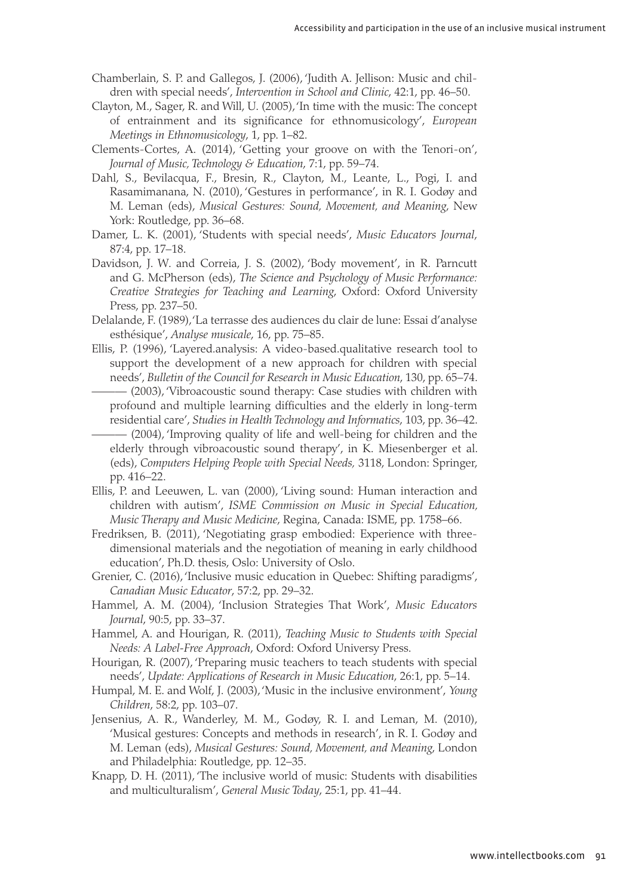- Chamberlain, S. P. and Gallegos, J. (2006), 'Judith A. Jellison: Music and children with special needs', *Intervention in School and Clinic*, 42:1, pp. 46–50.
- Clayton, M., Sager, R. and Will, U. (2005), 'In time with the music: The concept of entrainment and its significance for ethnomusicology', *European Meetings in Ethnomusicology*, 1, pp. 1–82.
- Clements-Cortes, A. (2014), 'Getting your groove on with the Tenori-on', *Journal of Music, Technology & Education*, 7:1, pp. 59–74.
- Dahl, S., Bevilacqua, F., Bresin, R., Clayton, M., Leante, L., Pogi, I. and Rasamimanana, N. (2010), 'Gestures in performance', in R. I. Godøy and M. Leman (eds), *Musical Gestures: Sound, Movement, and Meaning*, New York: Routledge, pp. 36–68.
- Damer, L. K. (2001), 'Students with special needs', *Music Educators Journal*, 87:4, pp. 17–18.
- Davidson, J. W. and Correia, J. S. (2002), 'Body movement', in R. Parncutt and G. McPherson (eds), *The Science and Psychology of Music Performance: Creative Strategies for Teaching and Learning*, Oxford: Oxford University Press, pp. 237–50.
- Delalande, F. (1989), 'La terrasse des audiences du clair de lune: Essai d'analyse esthésique', *Analyse musicale*, 16, pp. 75–85.
- Ellis, P. (1996), 'Layered.analysis: A video-based.qualitative research tool to support the development of a new approach for children with special needs', *Bulletin of the Council for Research in Music Education*, 130, pp. 65–74.
- (2003), 'Vibroacoustic sound therapy: Case studies with children with profound and multiple learning difficulties and the elderly in long-term residential care', *Studies in Health Technology and Informatics*, 103, pp. 36–42.
- (2004), 'Improving quality of life and well-being for children and the elderly through vibroacoustic sound therapy', in K. Miesenberger et al. (eds), *Computers Helping People with Special Needs,* 3118, London: Springer, pp. 416–22.
- Ellis, P. and Leeuwen, L. van (2000), 'Living sound: Human interaction and children with autism', *ISME Commission on Music in Special Education, Music Therapy and Music Medicine*, Regina, Canada: ISME, pp. 1758–66.
- Fredriksen, B. (2011), 'Negotiating grasp embodied: Experience with threedimensional materials and the negotiation of meaning in early childhood education', Ph.D. thesis, Oslo: University of Oslo.
- Grenier, C. (2016), 'Inclusive music education in Quebec: Shifting paradigms', *Canadian Music Educator*, 57:2, pp. 29–32.
- Hammel, A. M. (2004), 'Inclusion Strategies That Work', *Music Educators Journal*, 90:5, pp. 33–37.
- Hammel, A. and Hourigan, R. (2011), *Teaching Music to Students with Special Needs: A Label-Free Approach*, Oxford: Oxford Universy Press.
- Hourigan, R. (2007), 'Preparing music teachers to teach students with special needs', *Update: Applications of Research in Music Education*, 26:1, pp. 5–14.
- Humpal, M. E. and Wolf, J. (2003), 'Music in the inclusive environment', *Young Children*, 58:2, pp. 103–07.
- Jensenius, A. R., Wanderley, M. M., Godøy, R. I. and Leman, M. (2010), 'Musical gestures: Concepts and methods in research', in R. I. Godøy and M. Leman (eds), *Musical Gestures: Sound, Movement, and Meaning*, London and Philadelphia: Routledge, pp. 12–35.
- Knapp, D. H. (2011), 'The inclusive world of music: Students with disabilities and multiculturalism', *General Music Today*, 25:1, pp. 41–44.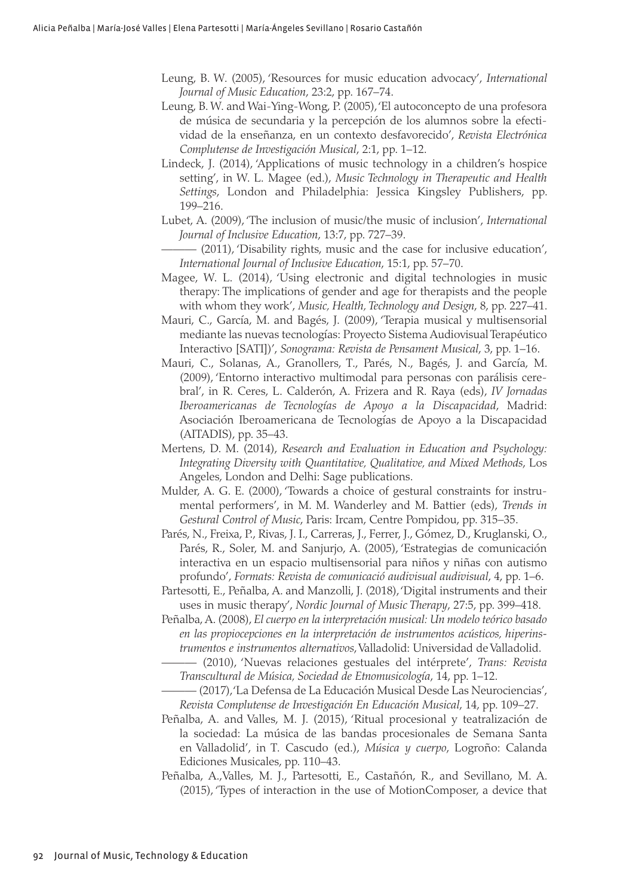- Leung, B. W. (2005), 'Resources for music education advocacy', *International Journal of Music Education*, 23:2, pp. 167–74.
- Leung, B. W. and Wai-Ying-Wong, P. (2005), 'El autoconcepto de una profesora de música de secundaria y la percepción de los alumnos sobre la efectividad de la enseñanza, en un contexto desfavorecido', *Revista Electrónica Complutense de Investigación Musical*, 2:1, pp. 1–12.
- Lindeck, J. (2014), 'Applications of music technology in a children's hospice setting', in W. L. Magee (ed.), *Music Technology in Therapeutic and Health Settings*, London and Philadelphia: Jessica Kingsley Publishers, pp. 199–216.
- Lubet, A. (2009), 'The inclusion of music/the music of inclusion', *International Journal of Inclusive Education*, 13:7, pp. 727–39.

- (2011), 'Disability rights, music and the case for inclusive education', *International Journal of Inclusive Education*, 15:1, pp. 57–70.

- Magee, W. L. (2014), 'Using electronic and digital technologies in music therapy: The implications of gender and age for therapists and the people with whom they work', *Music, Health, Technology and Design*, 8, pp. 227–41.
- Mauri, C., García, M. and Bagés, J. (2009), 'Terapia musical y multisensorial mediante las nuevas tecnologías: Proyecto Sistema Audiovisual Terapéutico Interactivo [SATI])', *Sonograma: Revista de Pensament Musical*, 3, pp. 1–16.
- Mauri, C., Solanas, A., Granollers, T., Parés, N., Bagés, J. and García, M. (2009), 'Entorno interactivo multimodal para personas con parálisis cerebral', in R. Ceres, L. Calderón, A. Frizera and R. Raya (eds), *IV Jornadas Iberoamericanas de Tecnologías de Apoyo a la Discapacidad*, Madrid: Asociación Iberoamericana de Tecnologías de Apoyo a la Discapacidad (AITADIS), pp. 35–43.
- Mertens, D. M. (2014), *Research and Evaluation in Education and Psychology: Integrating Diversity with Quantitative, Qualitative, and Mixed Methods*, Los Angeles, London and Delhi: Sage publications.
- Mulder, A. G. E. (2000), 'Towards a choice of gestural constraints for instrumental performers', in M. M. Wanderley and M. Battier (eds), *Trends in Gestural Control of Music*, Paris: Ircam, Centre Pompidou, pp. 315–35.
- Parés, N., Freixa, P., Rivas, J. I., Carreras, J., Ferrer, J., Gómez, D., Kruglanski, O., Parés, R., Soler, M. and Sanjurjo, A. (2005), 'Estrategias de comunicación interactiva en un espacio multisensorial para niños y niñas con autismo profundo', *Formats: Revista de comunicació audivisual audivisual*, 4, pp. 1–6.
- Partesotti, E., Peñalba, A. and Manzolli, J. (2018), 'Digital instruments and their uses in music therapy', *Nordic Journal of Music Therapy*, 27:5, pp. 399–418.
- Peñalba, A. (2008), *El cuerpo en la interpretación musical: Un modelo teórico basado en las propiocepciones en la interpretación de instrumentos acústicos, hiperinstrumentos e instrumentos alternativos*, Valladolid: Universidad de Valladolid.
	- ——— (2010), 'Nuevas relaciones gestuales del intérprete', *Trans: Revista Transcultural de Música, Sociedad de Etnomusicología*, 14, pp. 1–12.
	- (2017), 'La Defensa de La Educación Musical Desde Las Neurociencias', *Revista Complutense de Investigación En Educación Musical*, 14, pp. 109–27.
- Peñalba, A. and Valles, M. J. (2015), 'Ritual procesional y teatralización de la sociedad: La música de las bandas procesionales de Semana Santa en Valladolid', in T. Cascudo (ed.), *Música y cuerpo*, Logroño: Calanda Ediciones Musicales, pp. 110–43.
- Peñalba, A.,Valles, M. J., Partesotti, E., Castañón, R., and Sevillano, M. A. (2015), 'Types of interaction in the use of MotionComposer, a device that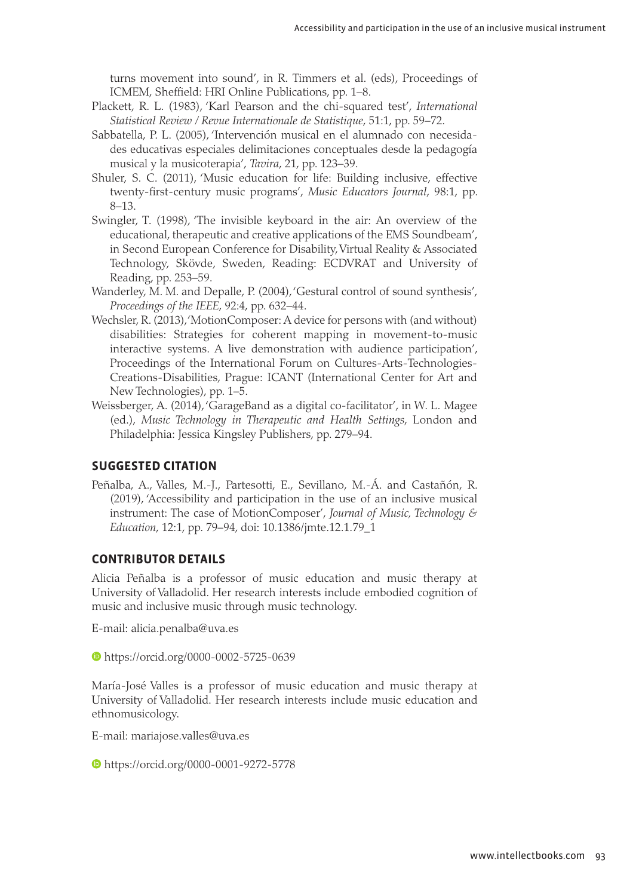turns movement into sound', in R. Timmers et al. (eds), Proceedings of ICMEM, Sheffield: HRI Online Publications, pp. 1–8.

- Plackett, R. L. (1983), 'Karl Pearson and the chi-squared test', *International Statistical Review / Revue Internationale de Statistique*, 51:1, pp. 59–72.
- Sabbatella, P. L. (2005), 'Intervención musical en el alumnado con necesidades educativas especiales delimitaciones conceptuales desde la pedagogía musical y la musicoterapia', *Tavira*, 21, pp. 123–39.
- Shuler, S. C. (2011), 'Music education for life: Building inclusive, effective twenty-first-century music programs', *Music Educators Journal*, 98:1, pp. 8–13.
- Swingler, T. (1998), 'The invisible keyboard in the air: An overview of the educational, therapeutic and creative applications of the EMS Soundbeam', in Second European Conference for Disability, Virtual Reality & Associated Technology, Skövde, Sweden, Reading: ECDVRAT and University of Reading, pp. 253–59.
- Wanderley, M. M. and Depalle, P. (2004), 'Gestural control of sound synthesis', *Proceedings of the IEEE*, 92:4, pp. 632–44.
- Wechsler, R. (2013), 'MotionComposer: A device for persons with (and without) disabilities: Strategies for coherent mapping in movement-to-music interactive systems. A live demonstration with audience participation', Proceedings of the International Forum on Cultures-Arts-Technologies-Creations-Disabilities, Prague: ICANT (International Center for Art and New Technologies), pp. 1–5.
- Weissberger, A. (2014), 'GarageBand as a digital co-facilitator', in W. L. Magee (ed.), *Music Technology in Therapeutic and Health Settings*, London and Philadelphia: Jessica Kingsley Publishers, pp. 279–94.

## **SUGGESTED CITATION**

Peñalba, A., Valles, M.-J., Partesotti, E., Sevillano, M.-Á. and Castañón, R. (2019), 'Accessibility and participation in the use of an inclusive musical instrument: The case of MotionComposer', *Journal of Music, Technology & Education*, 12:1, pp. [79](#page-0-0)–[94,](#page-15-0) doi: 10.1386/jmte.12.1[.79](#page-0-0)\_1

## **CONTRIBUTOR DETAILS**

Alicia Peñalba is a professor of music education and music therapy at University of Valladolid. Her research interests include embodied cognition of music and inclusive music through music technology.

[E-mail: alicia.penalba@uva.es](mailto:E-mail: alicia.penalba@uva.es)

<https://orcid.org/0000-0002-5725-0639>

María-José Valles is a professor of music education and music therapy at University of Valladolid. Her research interests include music education and ethnomusicology.

[E-mail: mariajose.valles@uva.es](mailto:E-mail: mariajose.valles@uva.es)

<https://orcid.org/0000-0001-9272-5778>